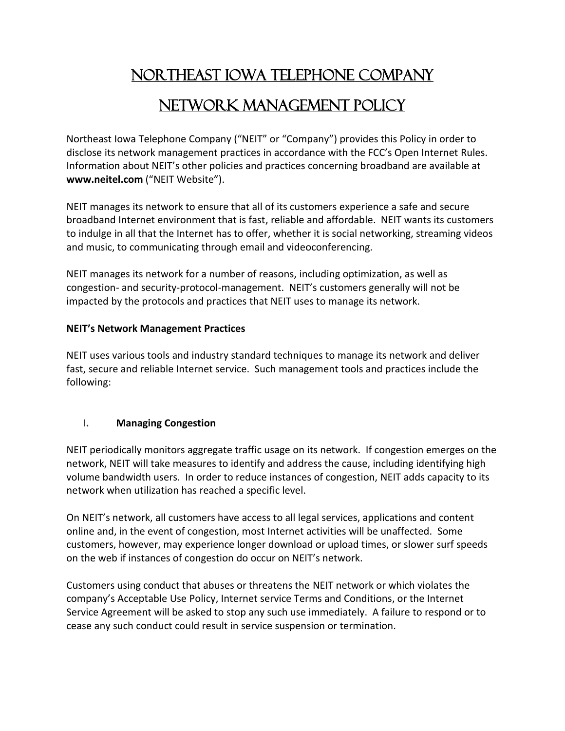# Northeast Iowa Telephone Company Network Management Policy

Northeast Iowa Telephone Company ("NEIT" or "Company") provides this Policy in order to disclose its network management practices in accordance with the FCC's Open Internet Rules. Information about NEIT's other policies and practices concerning broadband are available at **www.neitel.com** ("NEIT Website").

NEIT manages its network to ensure that all of its customers experience a safe and secure broadband Internet environment that is fast, reliable and affordable. NEIT wants its customers to indulge in all that the Internet has to offer, whether it is social networking, streaming videos and music, to communicating through email and videoconferencing.

NEIT manages its network for a number of reasons, including optimization, as well as congestion- and security-protocol-management. NEIT's customers generally will not be impacted by the protocols and practices that NEIT uses to manage its network.

### **NEIT's Network Management Practices**

NEIT uses various tools and industry standard techniques to manage its network and deliver fast, secure and reliable Internet service. Such management tools and practices include the following:

### **I. Managing Congestion**

NEIT periodically monitors aggregate traffic usage on its network. If congestion emerges on the network, NEIT will take measures to identify and address the cause, including identifying high volume bandwidth users. In order to reduce instances of congestion, NEIT adds capacity to its network when utilization has reached a specific level.

On NEIT's network, all customers have access to all legal services, applications and content online and, in the event of congestion, most Internet activities will be unaffected. Some customers, however, may experience longer download or upload times, or slower surf speeds on the web if instances of congestion do occur on NEIT's network.

Customers using conduct that abuses or threatens the NEIT network or which violates the company's Acceptable Use Policy, Internet service Terms and Conditions, or the Internet Service Agreement will be asked to stop any such use immediately. A failure to respond or to cease any such conduct could result in service suspension or termination.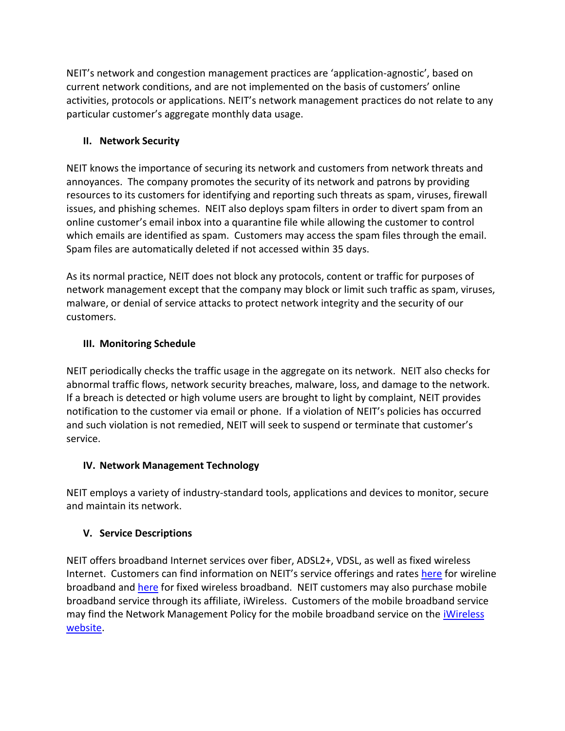NEIT's network and congestion management practices are 'application-agnostic', based on current network conditions, and are not implemented on the basis of customers' online activities, protocols or applications. NEIT's network management practices do not relate to any particular customer's aggregate monthly data usage.

## **II. Network Security**

NEIT knows the importance of securing its network and customers from network threats and annoyances. The company promotes the security of its network and patrons by providing resources to its customers for identifying and reporting such threats as spam, viruses, firewall issues, and phishing schemes. NEIT also deploys spam filters in order to divert spam from an online customer's email inbox into a quarantine file while allowing the customer to control which emails are identified as spam. Customers may access the spam files through the email. Spam files are automatically deleted if not accessed within 35 days.

As its normal practice, NEIT does not block any protocols, content or traffic for purposes of network management except that the company may block or limit such traffic as spam, viruses, malware, or denial of service attacks to protect network integrity and the security of our customers.

## **III. Monitoring Schedule**

NEIT periodically checks the traffic usage in the aggregate on its network. NEIT also checks for abnormal traffic flows, network security breaches, malware, loss, and damage to the network. If a breach is detected or high volume users are brought to light by complaint, NEIT provides notification to the customer via email or phone. If a violation of NEIT's policies has occurred and such violation is not remedied, NEIT will seek to suspend or terminate that customer's service.

### **IV. Network Management Technology**

NEIT employs a variety of industry-standard tools, applications and devices to monitor, secure and maintain its network.

## **V. Service Descriptions**

NEIT offers broadband Internet services over fiber, ADSL2+, VDSL, as well as fixed wireless Internet. Customers can find information on NEIT's service offerings and rates [here](http://neitel.com/highspeed.html) for wireline broadband and [here](http://neitel.com/wireless1.html) for fixed wireless broadband. NEIT customers may also purchase mobile broadband service through its affiliate, iWireless. Customers of the mobile broadband service may find the Network Management Policy for the mobile broadband service on the [iWireless](http://www.iwireless.com/)  [website.](http://www.iwireless.com/)